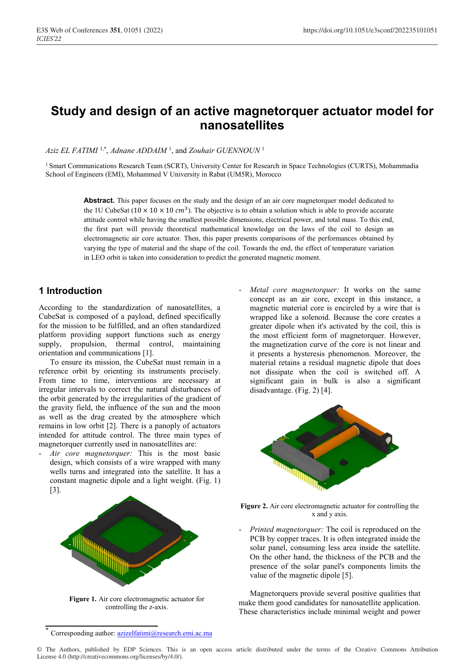# **Study and design of an active magnetorquer actuator model for nanosatellites**

*Aziz EL FATIMI* 1,\* , *Adnane ADDAIM* <sup>1</sup> , and *Zouhair GUENNOUN* <sup>1</sup>

<sup>1</sup> Smart Communications Research Team (SCRT), University Center for Research in Space Technologies (CURTS), Mohammadia School of Engineers (EMI), Mohammed V University in Rabat (UM5R), Morocco

> **Abstract.** This paper focuses on the study and the design of an air core magnetorquer model dedicated to the 1U CubeSat ( $10 \times 10 \times 10 \text{ cm}^3$ ). The objective is to obtain a solution which is able to provide accurate attitude control while having the smallest possible dimensions, electrical power, and total mass. To this end, the first part will provide theoretical mathematical knowledge on the laws of the coil to design an electromagnetic air core actuator. Then, this paper presents comparisons of the performances obtained by varying the type of material and the shape of the coil. Towards the end, the effect of temperature variation in LEO orbit is taken into consideration to predict the generated magnetic moment.

# **1 Introduction**

According to the standardization of nanosatellites, a CubeSat is composed of a payload, defined specifically for the mission to be fulfilled, and an often standardized platform providing support functions such as energy supply, propulsion, thermal control, maintaining orientation and communications [1].

To ensure its mission, the CubeSat must remain in a reference orbit by orienting its instruments precisely. From time to time, interventions are necessary at irregular intervals to correct the natural disturbances of the orbit generated by the irregularities of the gradient of the gravity field, the influence of the sun and the moon as well as the drag created by the atmosphere which remains in low orbit [2]. There is a panoply of actuators intended for attitude control. The three main types of magnetorquer currently used in nanosatellites are:

Air core magnetorquer: This is the most basic design, which consists of a wire wrapped with many wells turns and integrated into the satellite. It has a constant magnetic dipole and a light weight. (Fig. 1) [3].



**Figure 1.** Air core electromagnetic actuator for controlling the z-axis.

Metal core magnetorquer: It works on the same concept as an air core, except in this instance, a magnetic material core is encircled by a wire that is wrapped like a solenoid. Because the core creates a greater dipole when it's activated by the coil, this is the most efficient form of magnetorquer. However, the magnetization curve of the core is not linear and it presents a hysteresis phenomenon. Moreover, the material retains a residual magnetic dipole that does not dissipate when the coil is switched off. A significant gain in bulk is also a significant disadvantage. (Fig. 2) [4].



**Figure 2.** Air core electromagnetic actuator for controlling the x and y axis.

*Printed magnetorquer:* The coil is reproduced on the PCB by copper traces. It is often integrated inside the solar panel, consuming less area inside the satellite. On the other hand, the thickness of the PCB and the presence of the solar panel's components limits the value of the magnetic dipole [5].

Magnetorquers provide several positive qualities that make them good candidates for nanosatellite application. These characteristics include minimal weight and power

Corresponding author: azizelfatimi@research.emi.ac.ma

<sup>©</sup> The Authors, published by EDP Sciences. This is an open access article distributed under the terms of the Creative Commons Attribution License 4.0 (http://creativecommons.org/licenses/by/4.0/).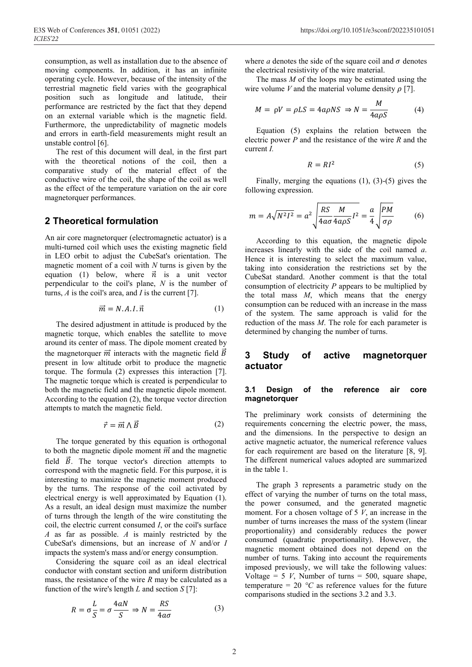consumption, as well as installation due to the absence of moving components. In addition, it has an infinite operating cycle. However, because of the intensity of the terrestrial magnetic field varies with the geographical position such as longitude and latitude, their performance are restricted by the fact that they depend on an external variable which is the magnetic field. Furthermore, the unpredictability of magnetic models and errors in earth-field measurements might result an unstable control [6].

The rest of this document will deal, in the first part with the theoretical notions of the coil, then a comparative study of the material effect of the conductive wire of the coil, the shape of the coil as well as the effect of the temperature variation on the air core magnetorquer performances.

# **2 Theoretical formulation**

An air core magnetorquer (electromagnetic actuator) is a multi-turned coil which uses the existing magnetic field in LEO orbit to adjust the CubeSat's orientation. The magnetic moment of a coil with *N* turns is given by the equation (1) below, where  $\vec{n}$  is a unit vector perpendicular to the coil's plane, *N* is the number of turns, *A* is the coil's area, and *I* is the current [7].

$$
\vec{m} = N.A.I.\vec{n} \tag{1}
$$

The desired adjustment in attitude is produced by the magnetic torque, which enables the satellite to move around its center of mass. The dipole moment created by the magnetorquer  $\vec{m}$  interacts with the magnetic field  $\vec{B}$ present in low altitude orbit to produce the magnetic torque. The formula (2) expresses this interaction [7]. The magnetic torque which is created is perpendicular to both the magnetic field and the magnetic dipole moment. According to the equation (2), the torque vector direction attempts to match the magnetic field.

$$
\vec{r} = \vec{m} \wedge \vec{B} \tag{2}
$$

The torque generated by this equation is orthogonal to both the magnetic dipole moment  $\vec{m}$  and the magnetic field  $\vec{B}$ . The torque vector's direction attempts to correspond with the magnetic field. For this purpose, it is interesting to maximize the magnetic moment produced by the turns. The response of the coil activated by electrical energy is well approximated by Equation (1). As a result, an ideal design must maximize the number of turns through the length of the wire constituting the coil, the electric current consumed *I*, or the coil's surface *A* as far as possible. *A* is mainly restricted by the CubeSat's dimensions, but an increase of *N* and/or *I* impacts the system's mass and/or energy consumption.

Considering the square coil as an ideal electrical conductor with constant section and uniform distribution mass, the resistance of the wire *R* may be calculated as a function of the wire's length *L* and section *S* [7]:

$$
R = \sigma \frac{L}{S} = \sigma \frac{4aN}{S} \Rightarrow N = \frac{RS}{4a\sigma}
$$
 (3)

where  $a$  denotes the side of the square coil and  $\sigma$  denotes the electrical resistivity of the wire material.

The mass *M* of the loops may be estimated using the wire volume *V* and the material volume density  $\rho$  [7].

$$
M = \rho V = \rho LS = 4a\rho NS \Rightarrow N = \frac{M}{4a\rho S} \tag{4}
$$

Equation (5) explains the relation between the electric power *P* and the resistance of the wire *R* and the current *I.*

$$
R = RI^2 \tag{5}
$$

Finally, merging the equations (1), (3)-(5) gives the following expression.

$$
m = A\sqrt{N^2I^2} = a^2 \sqrt{\frac{RS}{4a\sigma} \frac{M}{4a\rho S} I^2} = \frac{a}{4} \sqrt{\frac{PM}{\sigma\rho}}
$$
(6)

According to this equation, the magnetic dipole increases linearly with the side of the coil named *a*. Hence it is interesting to select the maximum value, taking into consideration the restrictions set by the CubeSat standard. Another comment is that the total consumption of electricity *P* appears to be multiplied by the total mass *M*, which means that the energy consumption can be reduced with an increase in the mass of the system. The same approach is valid for the reduction of the mass *M*. The role for each parameter is determined by changing the number of turns.

## **3 Study of active magnetorquer actuator**

#### **3.1 Design of the reference air core magnetorquer**

The preliminary work consists of determining the requirements concerning the electric power, the mass, and the dimensions. In the perspective to design an active magnetic actuator, the numerical reference values for each requirement are based on the literature [8, 9]. The different numerical values adopted are summarized in the table 1.

The graph 3 represents a parametric study on the effect of varying the number of turns on the total mass, the power consumed, and the generated magnetic moment. For a chosen voltage of 5 *V*, an increase in the number of turns increases the mass of the system (linear proportionality) and considerably reduces the power consumed (quadratic proportionality). However, the magnetic moment obtained does not depend on the number of turns. Taking into account the requirements imposed previously, we will take the following values: Voltage =  $5 V$ , Number of turns =  $500$ , square shape, temperature =  $20 °C$  as reference values for the future comparisons studied in the sections 3.2 and 3.3.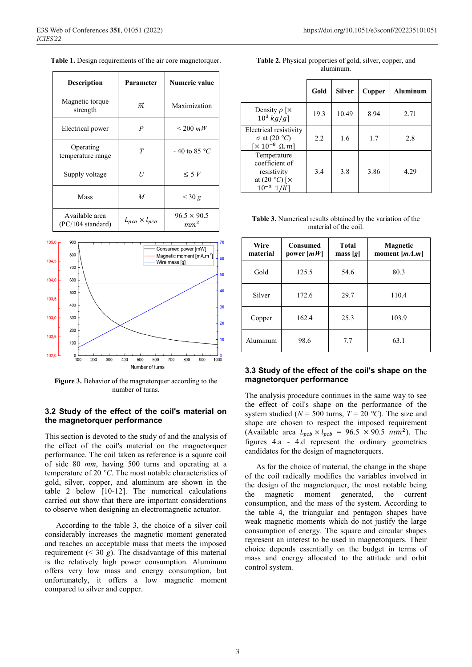|  |  |  | Table 1. Design requirements of the air core magnetorquer. |
|--|--|--|------------------------------------------------------------|
|  |  |  |                                                            |
|  |  |  |                                                            |

| <b>Description</b>                  | Parameter                | Numeric value                         |  |
|-------------------------------------|--------------------------|---------------------------------------|--|
| Magnetic torque<br>strength         | $\vec{m}$                | Maximization                          |  |
| Electrical power                    | $\boldsymbol{P}$         | $\leq$ 200 mW                         |  |
| Operating<br>temperature range      | T                        | $-40$ to 85 °C                        |  |
| Supply voltage                      | U                        | $\leq 5 V$                            |  |
| Mass                                | $\overline{M}$           | $\leq$ 30 g                           |  |
| Available area<br>(PC/104 standard) | $L_{pcb} \times l_{pcb}$ | $96.5 \times 90.5$<br>mm <sup>2</sup> |  |



**Figure 3.** Behavior of the magnetorquer according to the number of turns.

### **3.2 Study of the effect of the coil's material on the magnetorquer performance**

This section is devoted to the study of and the analysis of the effect of the coil's material on the magnetorquer performance. The coil taken as reference is a square coil of side 80 *mm*, having 500 turns and operating at a temperature of 20 *°C*. The most notable characteristics of gold, silver, copper, and aluminum are shown in the table 2 below [10-12]. The numerical calculations carried out show that there are important considerations to observe when designing an electromagnetic actuator.

According to the table 3, the choice of a silver coil considerably increases the magnetic moment generated and reaches an acceptable mass that meets the imposed requirement  $( $30 \text{ g}$ ). The disadvantage of this material$ is the relatively high power consumption. Aluminum offers very low mass and energy consumption, but unfortunately, it offers a low magnetic moment compared to silver and copper.

| Table 2. Physical properties of gold, silver, copper, and |  |
|-----------------------------------------------------------|--|
| aluminum.                                                 |  |

|                                                                                           | Gold | <b>Silver</b> | Copper | Aluminum |
|-------------------------------------------------------------------------------------------|------|---------------|--------|----------|
| Density $\rho$   $\times$<br>$10^3$ kg/g]                                                 | 19.3 | 10.49         | 8.94   | 2.71     |
| Electrical resistivity<br>$\sigma$ at (20 °C)<br>$\left[\times 10^{-8} \ \Omega.m\right]$ | 2.2  | 1.6           | 1.7    | 2.8      |
| Temperature<br>coefficient of<br>resistivity<br>at $(20 °C)$ [ $\times$<br>$10^{-3}$      | 3.4  | 3.8           | 3.86   | 4.29     |

**Table 3.** Numerical results obtained by the variation of the material of the coil.

| Wire<br>material | <b>Consumed</b><br>power $[mW]$ | Total<br>mass $[g]$ | Magnetic<br>moment $[mA,m]$ |
|------------------|---------------------------------|---------------------|-----------------------------|
| Gold             | 125.5                           | 54.6                | 80.3                        |
| Silver           | 172.6                           | 29.7                | 110.4                       |
| Copper           | 162.4                           | 25.3                | 103.9                       |
| Aluminum         | 98.6                            | 7.7                 | 63.1                        |

#### **3.3 Study of the effect of the coil's shape on the magnetorquer performance**

The analysis procedure continues in the same way to see the effect of coil's shape on the performance of the system studied ( $N = 500$  turns,  $T = 20$  °C). The size and shape are chosen to respect the imposed requirement (Available area  $L_{pcb} \times l_{pcb} = 96.5 \times 90.5 \text{ mm}^2$ ). The figures 4.a - 4.d represent the ordinary geometries candidates for the design of magnetorquers.

As for the choice of material, the change in the shape of the coil radically modifies the variables involved in the design of the magnetorquer, the most notable being the magnetic moment generated, the current consumption, and the mass of the system. According to the table 4, the triangular and pentagon shapes have weak magnetic moments which do not justify the large consumption of energy. The square and circular shapes represent an interest to be used in magnetorquers. Their choice depends essentially on the budget in terms of mass and energy allocated to the attitude and orbit control system.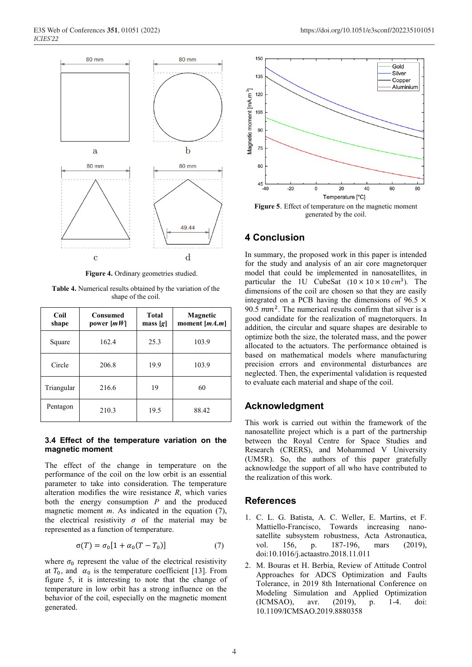

**Figure 4.** Ordinary geometries studied.

**Table 4.** Numerical results obtained by the variation of the shape of the coil.

| Coil<br>shape | <b>Consumed</b><br>power $[mW]$ | Total<br>$\text{mass} [g]$ | Magnetic<br>moment $[mA,m]$ |
|---------------|---------------------------------|----------------------------|-----------------------------|
| Square        | 162.4                           | 25.3                       | 103.9                       |
| Circle        | 206.8                           | 19.9                       | 103.9                       |
| Triangular    | 216.6                           | 19                         | 60                          |
| Pentagon      | 210.3                           | 19.5                       | 88.42                       |

#### **3.4 Effect of the temperature variation on the magnetic moment**

The effect of the change in temperature on the performance of the coil on the low orbit is an essential parameter to take into consideration. The temperature alteration modifies the wire resistance *R*, which varies both the energy consumption *P* and the produced magnetic moment *m*. As indicated in the equation (7), the electrical resistivity  $\sigma$  of the material may be represented as a function of temperature.

$$
\sigma(T) = \sigma_0[1 + \alpha_0(T - T_0)] \tag{7}
$$

where  $\sigma_0$  represent the value of the electrical resistivity at  $T_0$ , and  $\alpha_0$  is the temperature coefficient [13]. From figure 5, it is interesting to note that the change of temperature in low orbit has a strong influence on the behavior of the coil, especially on the magnetic moment generated.



generated by the coil.

## **4 Conclusion**

In summary, the proposed work in this paper is intended for the study and analysis of an air core magnetorquer model that could be implemented in nanosatellites, in particular the 1U CubeSat  $(10 \times 10 \times 10 \text{ cm}^3)$ . The dimensions of the coil are chosen so that they are easily integrated on a PCB having the dimensions of 96.5  $\times$ 90.5  $mm<sup>2</sup>$ . The numerical results confirm that silver is a good candidate for the realization of magnetorquers. In addition, the circular and square shapes are desirable to optimize both the size, the tolerated mass, and the power allocated to the actuators. The performance obtained is based on mathematical models where manufacturing precision errors and environmental disturbances are neglected. Then, the experimental validation is requested to evaluate each material and shape of the coil.

## **Acknowledgment**

This work is carried out within the framework of the nanosatellite project which is a part of the partnership between the Royal Centre for Space Studies and Research (CRERS), and Mohammed V University (UM5R). So, the authors of this paper gratefully acknowledge the support of all who have contributed to the realization of this work.

## **References**

- 1. C. L. G. Batista, A. C. Weller, E. Martins, et F. Mattiello-Francisco, Towards increasing nanosatellite subsystem robustness, Acta Astronautica, vol. 156, p. 187-196, mars (2019), doi:10.1016/j.actaastro.2018.11.011
- 2. M. Bouras et H. Berbia, Review of Attitude Control Approaches for ADCS Optimization and Faults Tolerance, in 2019 8th International Conference on Modeling Simulation and Applied Optimization (ICMSAO), avr. (2019), p. 1-4. doi: 10.1109/ICMSAO.2019.8880358